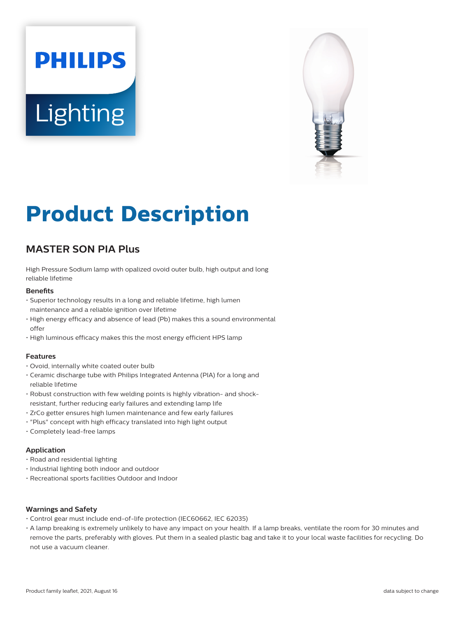# **PHILIPS Lighting**



# **Product Description**

# **MASTER SON PIA Plus**

High Pressure Sodium lamp with opalized ovoid outer bulb, high output and long reliable lifetime

#### **Benefits**

- Superior technology results in a long and reliable lifetime, high lumen maintenance and a reliable ignition over lifetime
- High energy efficacy and absence of lead (Pb) makes this a sound environmental offer
- High luminous efficacy makes this the most energy efficient HPS lamp

#### **Features**

- Ovoid, internally white coated outer bulb
- Ceramic discharge tube with Philips Integrated Antenna (PIA) for a long and reliable lifetime
- Robust construction with few welding points is highly vibration- and shockresistant, further reducing early failures and extending lamp life
- ZrCo getter ensures high lumen maintenance and few early failures
- "Plus" concept with high efficacy translated into high light output
- Completely lead-free lamps

#### **Application**

- Road and residential lighting
- Industrial lighting both indoor and outdoor
- Recreational sports facilities Outdoor and Indoor

#### **Warnings and Safety**

- Control gear must include end-of-life protection (IEC60662, IEC 62035)
- A lamp breaking is extremely unlikely to have any impact on your health. If a lamp breaks, ventilate the room for 30 minutes and remove the parts, preferably with gloves. Put them in a sealed plastic bag and take it to your local waste facilities for recycling. Do not use a vacuum cleaner.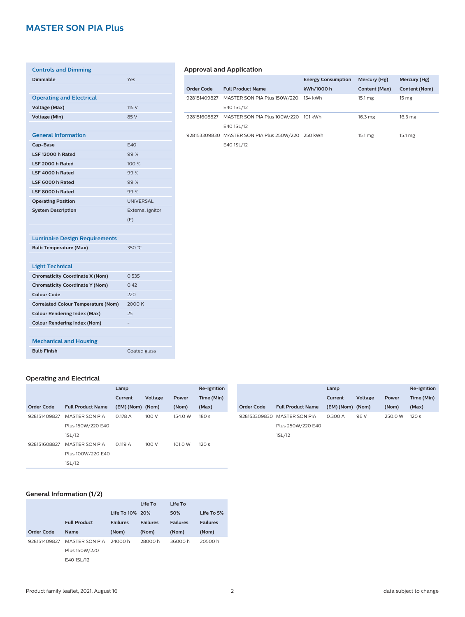# **MASTER SON PIA Plus**

| <b>Controls and Dimming</b>                |                         |
|--------------------------------------------|-------------------------|
| <b>Dimmable</b>                            | Yes                     |
|                                            |                         |
| <b>Operating and Electrical</b>            |                         |
| <b>Voltage (Max)</b>                       | 115V                    |
| <b>Voltage (Min)</b>                       | 85 V                    |
|                                            |                         |
| <b>General Information</b>                 |                         |
| Cap-Base                                   | E40                     |
| LSF 12000 h Rated                          | 99%                     |
| LSF 2000 h Rated                           | 100%                    |
| LSF 4000 h Rated                           | 99%                     |
| LSF 6000 h Rated                           | 99%                     |
| LSF 8000 h Rated                           | 99%                     |
| <b>Operating Position</b>                  | <b>UNIVERSAL</b>        |
| <b>System Description</b>                  | <b>External Ignitor</b> |
|                                            | (E)                     |
|                                            |                         |
| <b>Luminaire Design Requirements</b>       |                         |
| <b>Bulb Temperature (Max)</b>              | 350 °C                  |
|                                            |                         |
| <b>Light Technical</b>                     |                         |
| <b>Chromaticity Coordinate X (Nom)</b>     | 0.535                   |
| <b>Chromaticity Coordinate Y (Nom)</b>     | 0.42                    |
| <b>Colour Code</b>                         | 220                     |
| <b>Correlated Colour Temperature (Nom)</b> | 2000 K                  |
| <b>Colour Rendering Index (Max)</b>        | 25                      |
| <b>Colour Rendering Index (Nom)</b>        |                         |
|                                            |                         |
| <b>Mechanical and Housing</b>              |                         |
| <b>Bulb Finish</b>                         | Coated glass            |

#### **Operating and Electrical**

|                   |                          | Lamp             |         |         | Re-Ignition      |              |                          | Lamp             |         |         | Re-Ignition      |
|-------------------|--------------------------|------------------|---------|---------|------------------|--------------|--------------------------|------------------|---------|---------|------------------|
|                   |                          | Current          | Voltage | Power   | Time (Min)       |              |                          | Current          | Voltage | Power   | Time (Min)       |
| <b>Order Code</b> | <b>Full Product Name</b> | (EM) (Nom) (Nom) |         | (Nom)   | (Max)            | Order Code   | <b>Full Product Name</b> | (EM) (Nom) (Nom) |         | (Nom)   | (Max)            |
| 928151409827      | <b>MASTER SON PIA</b>    | 0.178 A          | 100 V   | 154.0 W | 180 s            | 928153309830 | MASTER SON PIA           | 0.300 A          | 96 V    | 250.0 W | 120 <sub>s</sub> |
|                   | Plus 150W/220 E40        |                  |         |         |                  |              | Plus 250W/220 E40        |                  |         |         |                  |
|                   | 1SL/12                   |                  |         |         |                  |              | 1SL/12                   |                  |         |         |                  |
| 928151608827      | <b>MASTER SON PIA</b>    | 0.119A           | 100 V   | 101.0 W | 120 <sub>s</sub> |              |                          |                  |         |         |                  |
|                   | Plus 100W/220 E40        |                  |         |         |                  |              |                          |                  |         |         |                  |
|                   | 1SL/12                   |                  |         |         |                  |              |                          |                  |         |         |                  |

#### **General Information (1/2)**

|              |                     |                 | Life To         | Life To         |                 |
|--------------|---------------------|-----------------|-----------------|-----------------|-----------------|
|              |                     | Life To 10% 20% |                 | 50%             | Life To 5%      |
|              | <b>Full Product</b> | <b>Failures</b> | <b>Failures</b> | <b>Failures</b> | <b>Failures</b> |
| Order Code   | <b>Name</b>         | (Nom)           | (Nom)           | (Nom)           | (Nom)           |
| 928151409827 | MASTER SON PIA      | 24000 h         | 28000 h         | 36000h          | 20500 h         |
|              | Plus 150W/220       |                 |                 |                 |                 |
|              | E40 1SL/12          |                 |                 |                 |                 |

#### **Approval and Application**

|              |                                                   | <b>Energy Consumption</b> | Mercury (Hg)      | Mercury (Hg)      |
|--------------|---------------------------------------------------|---------------------------|-------------------|-------------------|
| Order Code   | <b>Full Product Name</b>                          | kWh/1000 h                | Content (Max)     | Content (Nom)     |
| 928151409827 | MASTER SON PIA Plus 150W/220                      | 154 kWh                   | $15.1 \text{ mg}$ | 15 mg             |
|              | E40 1SL/12                                        |                           |                   |                   |
| 928151608827 | MASTER SON PIA Plus 100W/220                      | 101 kWh                   | 16.3 mg           | 16.3 mg           |
|              | E40 1SL/12                                        |                           |                   |                   |
|              | 928153309830 MASTER SON PIA Plus 250W/220 250 kWh |                           | 15.1 mg           | $15.1 \text{ mg}$ |
|              | E40 1SL/12                                        |                           |                   |                   |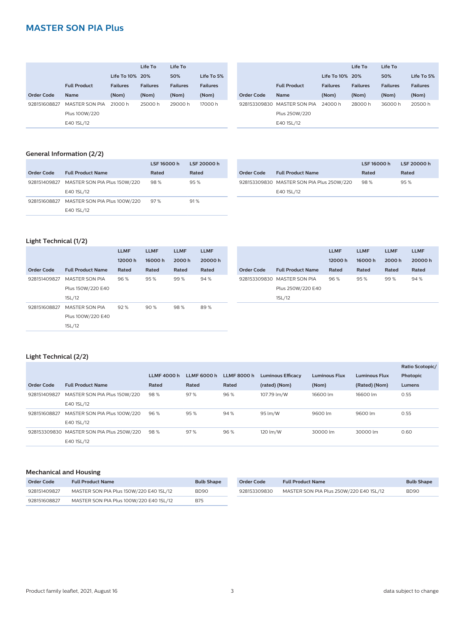# **MASTER SON PIA Plus**

|              |                     |                 | Life To         | Life To         |                 |
|--------------|---------------------|-----------------|-----------------|-----------------|-----------------|
|              |                     | Life To 10% 20% |                 | 50%             | Life To 5%      |
|              | <b>Full Product</b> | <b>Failures</b> | <b>Failures</b> | <b>Failures</b> | <b>Failures</b> |
| Order Code   | <b>Name</b>         | (Nom)           | (Nom)           | (Nom)           | (Nom)           |
| 928151608827 | MASTER SON PIA      | 21000 h         | 25000 h         | 29000 h         | 17000 h         |
|              | Plus 100W/220       |                 |                 |                 |                 |
|              | E40 1SL/12          |                 |                 |                 |                 |

|            |                             |                 | Life To         | Life To         |                 |
|------------|-----------------------------|-----------------|-----------------|-----------------|-----------------|
|            |                             | Life To 10% 20% |                 | 50%             | Life To 5%      |
|            | <b>Full Product</b>         | <b>Failures</b> | <b>Failures</b> | <b>Failures</b> | <b>Failures</b> |
| Order Code | <b>Name</b>                 | (Nom)           | (Nom)           | (Nom)           | (Nom)           |
|            | 928153309830 MASTER SON PIA | 24000 h         | 28000 h         | 36000 h         | 20500 h         |
|            | Plus 250W/220               |                 |                 |                 |                 |
|            | E40 1SL/12                  |                 |                 |                 |                 |
|            |                             |                 |                 |                 |                 |

#### **General Information (2/2)**

|            |                                           | LSF 16000 h | LSF 20000 h |
|------------|-------------------------------------------|-------------|-------------|
| Order Code | <b>Full Product Name</b>                  | Rated       | Rated       |
|            | 928151409827 MASTER SON PIA Plus 150W/220 | 98%         | 95%         |
|            | E40 1SL/12                                |             |             |
|            | 928151608827 MASTER SON PIA Plus 100W/220 | 97%         | 91%         |
|            | E40 1SL/12                                |             |             |

|                                           | LSF 16000 h | LSF 20000 h |
|-------------------------------------------|-------------|-------------|
| <b>Full Product Name</b>                  | Rated       | Rated       |
| 928153309830 MASTER SON PIA Plus 250W/220 | 98%         | 95%         |
| E40 1SL/12                                |             |             |
|                                           |             |             |

#### **Light Technical (1/2)**

|                   |                          | <b>LLMF</b> | <b>LLMF</b> | <b>LLMF</b> | <b>LLMF</b> |                   |                             | <b>LLMF</b> | <b>LLMF</b> | <b>LLMF</b> | <b>LLMF</b> |
|-------------------|--------------------------|-------------|-------------|-------------|-------------|-------------------|-----------------------------|-------------|-------------|-------------|-------------|
|                   |                          | 12000h      | 16000h      | 2000 h      | 20000h      |                   |                             | 12000h      | 16000h      | 2000 h      | 20000h      |
| <b>Order Code</b> | <b>Full Product Name</b> | Rated       | Rated       | Rated       | Rated       | <b>Order Code</b> | <b>Full Product Name</b>    | Rated       | Rated       | Rated       | Rated       |
| 928151409827      | <b>MASTER SON PIA</b>    | 96%         | 95%         | 99%         | 94%         |                   | 928153309830 MASTER SON PIA | 96%         | 95%         | 99%         | 94%         |
|                   | Plus 150W/220 E40        |             |             |             |             |                   | Plus 250W/220 E40           |             |             |             |             |
|                   | 1SL/12                   |             |             |             |             |                   | 1SL/12                      |             |             |             |             |
| 928151608827      | <b>MASTER SON PIA</b>    | 92%         | 90%         | 98%         | 89%         |                   |                             |             |             |             |             |
|                   | Plus 100W/220 E40        |             |             |             |             |                   |                             |             |             |             |             |
|                   | 1SL/12                   |             |             |             |             |                   |                             |             |             |             |             |
|                   |                          |             |             |             |             |                   |                             |             |             |             |             |

#### **Light Technical (2/2)**

|                   |                                           |                    |             |                    |                          |                      |                      | Ratio Scotopic/ |
|-------------------|-------------------------------------------|--------------------|-------------|--------------------|--------------------------|----------------------|----------------------|-----------------|
|                   |                                           | <b>LLMF 4000 h</b> | LLMF 6000 h | <b>LLMF 8000 h</b> | <b>Luminous Efficacy</b> | <b>Luminous Flux</b> | <b>Luminous Flux</b> | Photopic        |
| <b>Order Code</b> | <b>Full Product Name</b>                  | Rated              | Rated       | Rated              | (rated) (Nom)            | (Nom)                | (Rated) (Nom)        | Lumens          |
| 928151409827      | MASTER SON PIA Plus 150W/220              | 98%                | 97%         | 96%                | 107.79 lm/W              | 16600 lm             | 16600 lm             | 0.55            |
|                   | E40 1SL/12                                |                    |             |                    |                          |                      |                      |                 |
| 928151608827      | MASTER SON PIA Plus 100W/220              | 96 %               | 95%         | 94%                | 95 lm/W                  | 9600 lm              | 9600 lm              | 0.55            |
|                   | E40 1SL/12                                |                    |             |                    |                          |                      |                      |                 |
|                   | 928153309830 MASTER SON PIA Plus 250W/220 | 98%                | 97%         | 96%                | 120 lm/W                 | 30000 lm             | 30000 lm             | 0.60            |
|                   | E40 1SL/12                                |                    |             |                    |                          |                      |                      |                 |

#### **Mechanical and Housing**

| Order Code   | <b>Full Product Name</b>                | <b>Bulb Shape</b> | Order Code   | <b>Full Product Name</b>                | <b>Bulb Shape</b> |
|--------------|-----------------------------------------|-------------------|--------------|-----------------------------------------|-------------------|
| 928151409827 | MASTER SON PIA Plus 150W/220 E40 1SL/12 | BD90              | 928153309830 | MASTER SON PIA Plus 250W/220 E40 1SL/12 | <b>BD90</b>       |
| 928151608827 | MASTER SON PIA Plus 100W/220 E40 1SL/12 | <b>B75</b>        |              |                                         |                   |